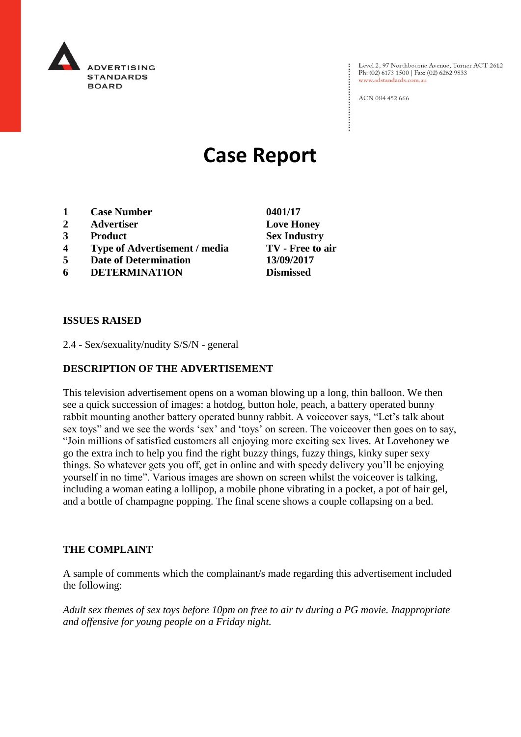

Level 2, 97 Northbourne Avenue, Turner ACT 2612 Ph: (02) 6173 1500 | Fax: (02) 6262 9833 www.adstandards.com.au

ACN 084 452 666

# **Case Report**

- **1 Case Number 0401/17**
- **2 Advertiser Love Honey**
- **3 Product Sex Industry**
- **4 Type of Advertisement / media TV - Free to air**
- **5 Date of Determination 13/09/2017**
- **6 DETERMINATION Dismissed**

#### **ISSUES RAISED**

2.4 - Sex/sexuality/nudity S/S/N - general

## **DESCRIPTION OF THE ADVERTISEMENT**

This television advertisement opens on a woman blowing up a long, thin balloon. We then see a quick succession of images: a hotdog, button hole, peach, a battery operated bunny rabbit mounting another battery operated bunny rabbit. A voiceover says, "Let's talk about sex toys" and we see the words 'sex' and 'toys' on screen. The voiceover then goes on to say, "Join millions of satisfied customers all enjoying more exciting sex lives. At Lovehoney we go the extra inch to help you find the right buzzy things, fuzzy things, kinky super sexy things. So whatever gets you off, get in online and with speedy delivery you'll be enjoying yourself in no time". Various images are shown on screen whilst the voiceover is talking, including a woman eating a lollipop, a mobile phone vibrating in a pocket, a pot of hair gel, and a bottle of champagne popping. The final scene shows a couple collapsing on a bed.

#### **THE COMPLAINT**

A sample of comments which the complainant/s made regarding this advertisement included the following:

*Adult sex themes of sex toys before 10pm on free to air tv during a PG movie. Inappropriate and offensive for young people on a Friday night.*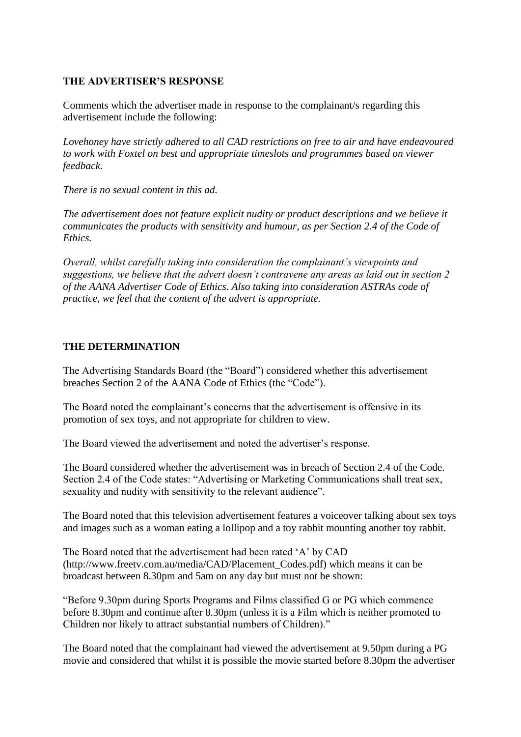#### **THE ADVERTISER'S RESPONSE**

Comments which the advertiser made in response to the complainant/s regarding this advertisement include the following:

*Lovehoney have strictly adhered to all CAD restrictions on free to air and have endeavoured to work with Foxtel on best and appropriate timeslots and programmes based on viewer feedback.*

*There is no sexual content in this ad.*

*The advertisement does not feature explicit nudity or product descriptions and we believe it communicates the products with sensitivity and humour, as per Section 2.4 of the Code of Ethics.*

*Overall, whilst carefully taking into consideration the complainant's viewpoints and suggestions, we believe that the advert doesn't contravene any areas as laid out in section 2 of the AANA Advertiser Code of Ethics. Also taking into consideration ASTRAs code of practice, we feel that the content of the advert is appropriate.*

### **THE DETERMINATION**

The Advertising Standards Board (the "Board") considered whether this advertisement breaches Section 2 of the AANA Code of Ethics (the "Code").

The Board noted the complainant's concerns that the advertisement is offensive in its promotion of sex toys, and not appropriate for children to view.

The Board viewed the advertisement and noted the advertiser's response.

The Board considered whether the advertisement was in breach of Section 2.4 of the Code. Section 2.4 of the Code states: "Advertising or Marketing Communications shall treat sex, sexuality and nudity with sensitivity to the relevant audience".

The Board noted that this television advertisement features a voiceover talking about sex toys and images such as a woman eating a lollipop and a toy rabbit mounting another toy rabbit.

The Board noted that the advertisement had been rated 'A' by CAD (http://www.freetv.com.au/media/CAD/Placement\_Codes.pdf) which means it can be broadcast between 8.30pm and 5am on any day but must not be shown:

"Before 9.30pm during Sports Programs and Films classified G or PG which commence before 8.30pm and continue after 8.30pm (unless it is a Film which is neither promoted to Children nor likely to attract substantial numbers of Children)."

The Board noted that the complainant had viewed the advertisement at 9.50pm during a PG movie and considered that whilst it is possible the movie started before 8.30pm the advertiser